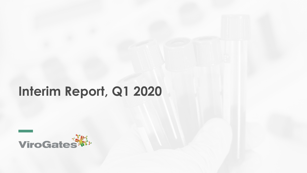# **Interim Report, Q1 2020**

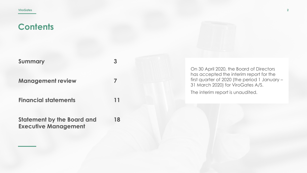| <b>Summary</b>              | 3  |
|-----------------------------|----|
| <b>Management review</b>    |    |
| <b>Financial statements</b> | 11 |

**18**

**Statement by the Board and Executive Management**

On 30 April 2020, the Board of Directors has accepted the interim report for the first quarter of 2020 (the period 1 January – 31 March 2020) for ViroGates A/S. The interim report is unaudited.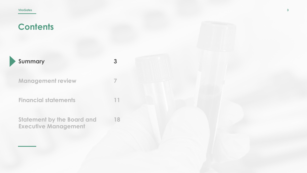| Summary                                                          | -5 |
|------------------------------------------------------------------|----|
| <b>Management review</b>                                         |    |
| <b>Financial statements</b>                                      | 11 |
| <b>Statement by the Board and</b><br><b>Executive Management</b> | 18 |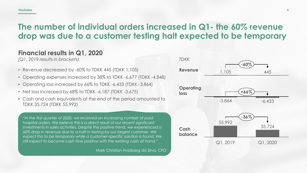### **The number of individual orders increased in Q1- the 60% revenue drop was due to a customer testing halt expected to be temporary**

#### **Financial results in Q1, 2020**

*(Q1, 2019 results in brackets)*

- Revenue decreased by -60% to TDKK 445 (TDKK 1,105)
- Operating expenses increased by 38% to TDKK -6,677 (TDKK -4,848)
- Operating loss increased by 66% to TDKK -6,433 (TDKK -3,864)
- Net loss increased by 68% to TDKK -6,187 (TDKK -3,675)
- Cash and cash equivalents at the end of the period amounted to TDKK 35,724 (TDKK 55,992)

*"In the first quarter of 2020, we received an increasing number of paid hospital orders. We believe this is a direct result of our recent significant investments in sales activities. Despite this positive trend, we experienced a 60% drop in revenue due to a halt in testing by our largest customer. We expect this to be temporary while a customer-specific solution is found. We still expect to become cash flow positive with the existing cash at hand."*

Mark Christian Hvidberg da Silva, CFO

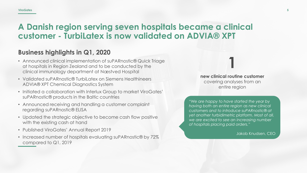#### **ViroGates**

### **A Danish region serving seven hospitals became a clinical customer - TurbiLatex is now validated on ADVIA® XPT**

#### **Business highlights in Q1, 2020**

- Announced clinical implementation of suPARnostic® Quick Triage at hospitals in Region Zealand and to be conducted by the clinical immunology department at Næstved Hospital
- Validated suPARnostic® TurbiLatex on Siemens Healthineers ADVIA® XPT Chemical Diagnostics System
- Initiated a collaboration with Interlux Group to market ViroGates' suPARnostic® products in the Baltic countries
- Announced receiving and handling a customer complaint regarding suPARnostic® ELISA
- Updated the strategic objective to become cash flow positive with the existing cash at hand
- Published ViroGates' Annual Report 2019
- Increased number of hospitals evaluating suPARnostic® by 72% compared to Q1, 2019

**new clinical routine customer**  covering analyses from an entire region

**1**

*"We are happy to have started the year by having both an entire region as new clinical customers and to introduce suPARnostic® at yet another turbidimetric platform. Most of all, we are excited to see an increasing number of hospitals placing paid orders."*

Jakob Knudsen, CEO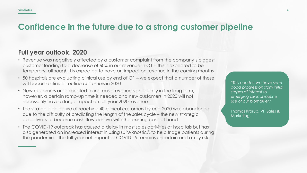### **Confidence in the future due to a strong customer pipeline**

#### **Full year outlook, 2020**

- Revenue was negatively affected by a customer complaint from the company's biggest customer leading to a decrease of 60% in our revenue in Q1 – this is expected to be temporary, although it is expected to have an impact on revenue in the coming months
- 50 hospitals are evaluating clinical use by end of  $Q1$  we expect that a number of these will become clinical routine customers in 2020
- New customers are expected to increase revenue significantly in the long term, however, a certain ramp-up time is needed and new customers in 2020 will not necessarily have a large impact on full-year 2020 revenue
- The strategic objective of reaching 40 clinical customers by end 2020 was abandoned due to the difficulty of predicting the length of the sales cycle – the new strategic objective is to become cash flow positive with the existing cash at hand
- The COVID-19 outbreak has caused a delay in most sales activities at hospitals but has also generated an increased interest in using suPARnostic® to help triage patients during the pandemic – the full-year net impact of COVID-19 remains uncertain and a key risk

*"This quarter, we have seen good progression from initial stages of interest to emerging clinical routine use of our biomarker."*

Thomas Krarup, VP Sales & Marketing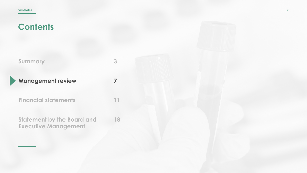| <b>Summary</b>           |
|--------------------------|
| <b>Management review</b> |

**3**

**7**

**11**

**Financial statements**

**Statement by the Board and Executive Management 18**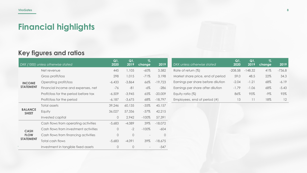## **Financial highlights**

#### **Key figures and ratios**

|                                | DKK ('000) unless otherwise stated    | Q1<br>2020 | Q1<br>2019 | $\sqrt{2}$<br><b>change</b> | 2019      | DKK unless otherwise stated        | Q1<br>2020 | Q1<br>2019 | $\sqrt{2}$<br>change | 2019     |
|--------------------------------|---------------------------------------|------------|------------|-----------------------------|-----------|------------------------------------|------------|------------|----------------------|----------|
|                                | Net revenue                           | 445        | 1,105      | $-60\%$                     | 3,582     | Rate of return (%)                 | $-208.58$  | $-148.32$  | 41%                  | $-736,8$ |
|                                | Gross profit/loss                     | 298        | 1,015      | $-71%$                      | 3,198     | Market share price, end of period  | 59.0       | 48.5       | 22%                  | 34.3     |
| <b>INCOME</b>                  | Operating profit/loss                 | $-6,433$   | $-3,864$   | 66%                         | $-19,723$ | Earnings per share before dilution | $-2.04$    | $-1.21$    | 68%                  | $-6.19$  |
| <b>STATEMENT</b>               | Financial income and expenses, net    | $-76$      | $-81$      | $-6\%$                      | $-286$    | Earnings per share after dilution  | $-1.79$    | $-1.06$    | 68%                  | $-5.43$  |
|                                | Profit/loss for the period before tax | $-6,509$   | $-3,945$   | 65%                         | $-20,009$ | Equity ratio (%)                   | 86%        | 95%        | -9%                  | 93%      |
|                                | Profit/loss for the period            | $-6,187$   | $-3,675$   | 68%                         | $-18,797$ | Employees, end of period (#)       | 13         | 11         | 18%                  | 12       |
|                                | Total assets                          | 39,246     | 60,135     | $-35%$                      | 45,157    |                                    |            |            |                      |          |
| <b>BALANCE</b><br><b>SHEET</b> | Equity                                | 36,027     | 57,336     | $-37\%$                     | 42,215    |                                    |            |            |                      |          |
|                                | Invested capital                      | $\circ$    | 2,942      | $-100\%$                    | 57,391    |                                    |            |            |                      |          |
|                                | Cash flows from operating activities  | $-5,683$   | $-4,089$   | 39%                         | $-18,072$ |                                    |            |            |                      |          |
| <b>CASH</b>                    | Cash flows from investment activities | $\circ$    | $-2$       | $-100\%$                    | $-604$    |                                    |            |            |                      |          |
| <b>FLOW</b>                    | Cash flows from financing activities  | $\circ$    | $\circ$    |                             | $\Omega$  |                                    |            |            |                      |          |
| <b>STATEMENT</b>               | Total cash flows                      | $-5,683$   | $-4,091$   | 39%                         | $-18,675$ |                                    |            |            |                      |          |
|                                | Investment in tangible fixed assets   | $\circ$    | $\circ$    |                             | $-547$    |                                    |            |            |                      |          |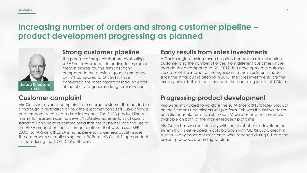### **Increasing number of orders and strong customer pipeline – product development progressing as planned**



#### **Strong customer pipeline**

The pipeline of hospitals that are evaluating suPARnostic® products intending to implement them in clinical routine remains strong compared to the previous quarter and grew by 72% compared to Q1, 2019. This is considered the most important lead indicator of the ability to generate long-term revenue.

#### **Customer complaint**

ViroGates received a complaint from a large customer that has led to a thorough investigation of how the customer conducts ELISA analyses and temporarily caused a drop in revenue. The ELISA product line is mainly for research use, however, ViroGates adheres to strict quality standards and have recommended that the customer stop the use of the ELISA product on the instrument platform that was in use (BEP 2000). suPARnostic® ELISA is not experiencing general quality issues. The customer is currently using the suPARnostic® Quick Triage product instead during the COVID-19 outbreak.

#### **Early results from sales investments**

A Danish region serving seven hospitals became a clinical routine customer and the number of orders from different customers more than doubled compared to Q1, 2019. This development is a strong indicator of the impact of the significant sales investments made since the initial public offering in 2018. The sales investments are the primary driver behind the increase in the operating loss to -6.4 DKKm.

#### **Progressing product development**

ViroGates managed to validate the suPARnostic® Turbilatex product on the Siemens Healthineers XPT platform. This was the first validation on a Siemens platform, which means ViroGates now has products available on both of the market leaders' platforms.

ViroGates has worked intensely with the point-of-care development system that is developed in collaboration with GENSPEED Biotech in Austria. Many important milestones were reached during Q1 and the project proceeds according to plan.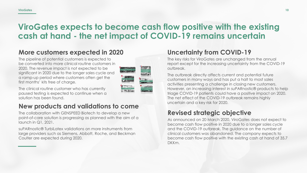### **ViroGates expects to become cash flow positive with the existing cash at hand - the net impact of COVID-19 remains uncertain**

### **More customers expected in 2020**

The pipeline of potential customers is expected to be converted into more clinical routine customers in 2020. The revenue impact is not expected to be significant in 2020 due to the longer sales cycle and a ramp-up period where customers often get the first months' kits free of charge.



The clinical routine customer who has currently paused testing is expected to continue when a solution has been found.

#### **New products and validations to come**

The collaboration with GENSPEED Biotech to develop a new point-of-care solution is progressing as planned with the aim of a launch in Q1, 2021.

suPARnostic® TurbiLatex validations on more instruments from large providers such as Siemens, Abbott, Roche, and Beckman Coulter are expected during 2020.

### **Uncertainty from COVID-19**

The key risks for ViroGates are unchanged from the annual report except for the increasing uncertainty from the COVID-19 outbreak.

The outbreak directly affects current and potential future customers in many ways and has put a halt to most sales activities presenting a challenge in closing new customers. However, an increasing interest in suPARnostic® products to help triage COVID-19 patients could have a positive impact on 2020. The net effect of the COVID-19 outbreak remains highly uncertain and a key risk for 2020.

#### **Revised strategic objective**

As announced on 20 March 2020, ViroGates does not expect to become cash flow positive in 2020 due to a longer sales cycle and the COVID-19 outbreak. The guidance on the number of clinical customers was abandoned. The company expects to become cash flow positive with the existing cash at hand of 35.7 DKKm.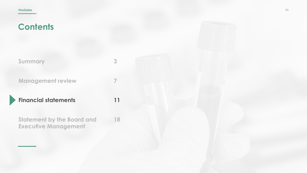| Summary | 3 |
|---------|---|
|         |   |

**7**

**11**

**18**

**Management review**

**Financial statements**

**Statement by the Board and Executive Management**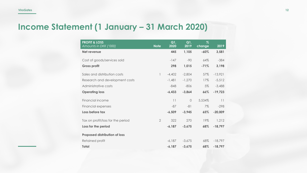## **Income Statement (1 January – 31 March 2020)**

| <b>PROFIT &amp; LOSS</b><br>Amounts in DKK ('000) | <b>Note</b>    | Q1<br>2020 | Q1<br>2019 | $\%$<br>change | 2019      |
|---------------------------------------------------|----------------|------------|------------|----------------|-----------|
| Net revenue                                       |                | 445        | 1,105      | $-60%$         | 3,581     |
| Cost of goods/services sold                       |                | $-147$     | $-90$      | 64%            | $-384$    |
| <b>Gross profit</b>                               |                | 298        | 1,015      | $-71%$         | 3,198     |
| Sales and distribution costs                      | 1              | $-4,402$   | $-2,804$   | 57%            | $-13,921$ |
| Research and development costs                    |                | $-1,481$   | $-1,270$   | 17%            | $-5,512$  |
| Administrative costs                              |                | $-848$     | $-806$     | 5%             | $-3,488$  |
| <b>Operating loss</b>                             |                | $-6,433$   | $-3,864$   | 66%            | $-19,723$ |
| Financial income                                  |                | 11         | $\circ$    | 5,534%         | 11        |
| Financial expenses                                |                | $-87$      | $-81$      | 7%             | $-298$    |
| Loss before tax                                   |                | $-6,509$   | $-3,945$   | 65%            | $-20,009$ |
| Tax on profit/loss for the period                 | $\overline{2}$ | 322        | 270        | 19%            | 1,212     |
| Loss for the period                               |                | $-6,187$   | $-3,675$   | 68%            | $-18,797$ |
| <b>Proposed distribution of loss</b>              |                |            |            |                |           |
| Retained profit                                   |                | $-6,187$   | $-3.675$   | 68%            | $-18,797$ |
| <b>Total</b>                                      |                | $-6,187$   | $-3,675$   | 68%            | $-18,797$ |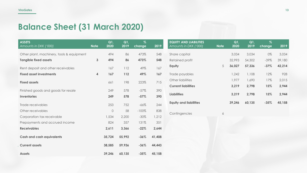## **Balance Sheet (31 March 2020)**

| <b>ASSETS</b><br>Amounts in DKK ('000)    | <b>Note</b>  | Q1<br>2020 | Q1<br>2019 | $\%$<br>change | 2019   | <b>EQUITY AND LIABILITIES</b><br>Amounts in DKK ('000) | <b>Note</b> | Q1<br>2020 | Q1<br>2019 | $\%$<br>change | 2019   |
|-------------------------------------------|--------------|------------|------------|----------------|--------|--------------------------------------------------------|-------------|------------|------------|----------------|--------|
| Other plant, machinery, tools & equipment |              | 494        | 86         | 473%           | 548    | Share capital                                          |             | 3,034      | 3,034      | 0%             | 3,034  |
| <b>Tangible fixed assets</b>              | $\mathbf{3}$ | 494        | 86         | 473%           | 548    | Retained profit                                        |             | 32,993     | 54,302     | $-39\%$        | 39,180 |
| Rent deposit and other receivables        |              | 167        | 112        | 49%            | 167    | Equity                                                 | 5           | 36,027     | 57,336     | $-37%$         | 42,214 |
| <b>Fixed asset investments</b>            | 4            | 167        | 112        | 49%            | 167    | Trade payables                                         |             | 1,242      | 1,108      | 12%            | 928    |
| <b>Fixed assets</b>                       |              | 661        | 198        | 223%           | 715    | Other liabilities                                      |             | 1,977      | 1,690      | 17%            | 2,015  |
|                                           |              |            |            |                |        | <b>Current liabilities</b>                             |             | 3,219      | 2,798      | 15%            | 2,944  |
| Finished goods and goods for resale       |              | 249        | 578        | $-57%$         | 390    |                                                        |             |            |            |                |        |
| Inventories                               |              | 249        | 578        | $-57%$         | 390    | <b>Liabilities</b>                                     |             | 3,219      | 2,798      | 15%            | 2,944  |
| Trade receivables                         |              | 253        | 752        | $-66%$         | 244    | <b>Equity and liabilities</b>                          |             | 39,246     | 60,135     | $-35%$         | 45,158 |
| Other receivables                         |              | $\circ$    | 58         | $-100%$        | 838    |                                                        |             |            |            |                |        |
| Corporation tax receivable                |              | 1,534      | 2,200      | $-30\%$        | 1,212  | Contingencies                                          | 6           |            |            |                |        |
| Prepayments and accrued income            |              | 824        | 357        | 131%           | 351    |                                                        |             |            |            |                |        |
| <b>Receivables</b>                        |              | 2,611      | 3,366      | $-22%$         | 2,644  |                                                        |             |            |            |                |        |
| <b>Cash and cash equivalents</b>          |              | 35,724     | 55,992     | $-36%$         | 41,408 |                                                        |             |            |            |                |        |
| <b>Current assets</b>                     |              | 38,585     | 59,936     | $-36%$         | 44,443 |                                                        |             |            |            |                |        |
| <b>Assets</b>                             |              | 39,246     | 60,135     | $-35%$         | 45,158 |                                                        |             |            |            |                |        |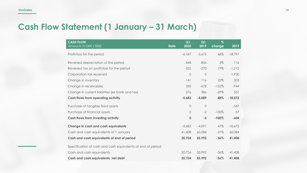### **Cash Flow Statement (1 January – 31 March)**

| <b>CASH FLOW</b><br>Amounts in DKK ('000)                    | <b>Note</b> | Q1<br>2020 | Q1,<br>2019 | $\%$<br>change           | 2019      |
|--------------------------------------------------------------|-------------|------------|-------------|--------------------------|-----------|
| Profit/loss for the period                                   |             | $-6,187$   | $-3,675$    | 68%                      | $-18,797$ |
| Reversed depreciation of the period                          |             | 848        | 806         | 5%                       | 116       |
| Reversed tax on profit/loss for the period                   |             | $-322$     | $-270$      | 19%                      | $-1,212$  |
| Corporation tax received                                     |             | $\sqrt{a}$ | $\circ$     | $\overline{\phantom{a}}$ | 1,930     |
| Change in inventory                                          |             | 141        | 116         | 22%                      | 303       |
| Change in receivables                                        |             | 355        | $-678$      | $-152%$                  | $-944$    |
| Change in current liabilities (ex bank and tax)              |             | 276        | 386         | $-29%$                   | 531       |
| <b>Cash flows from operating activity</b>                    |             | $-5,683$   | $-4,089$    | 48%                      | $-18,072$ |
| Purchase of tangible fixed assets                            |             | $\circ$    | $\circ$     | $\overline{\phantom{a}}$ | $-547$    |
| Purchase of financial assets                                 |             | $\Omega$   | $-2$        | $-100\%$                 | $-57$     |
| <b>Cash flows from investing activity</b>                    |             | $\bf{0}$   | $-2$        | $-100%$                  | $-604$    |
| Change in cash and cash equivalents                          |             | $-5,683$   | $-4,091$    | 47%                      | $-18,675$ |
| Cash and cash equivalents at 1 January                       |             | 41,408     | 60,084      | $-31%$                   | 60,084    |
| Cash and cash equivalents at end of period                   |             | 35,724     | 55,992      | $-36%$                   | 41,408    |
| Specification of cash and cash equivalents at end of period: |             |            |             |                          |           |
| Cash and cash equivalents                                    |             | 35,724     | 55,992      | $-36\%$                  | 41,408    |
| Cash and cash equivalents, net debt                          |             | 35,724     | 55,992      | $-36%$                   | 41,408    |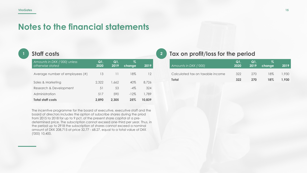### **Notes to the financial statements**

#### **<sup>1</sup> Staff costs**

| Amounts in DKK ('000) unless<br>otherwise stated | Q1<br>2020 | Q1<br>2019 | Z<br>change | 2019   |
|--------------------------------------------------|------------|------------|-------------|--------|
| Average number of employees (#)                  | 13         | 11         | 18%         | 12     |
| Sales & Marketing                                | 2.322      | 1.662      | 40%         | 8.726  |
| Research & Development                           | 51         | 53         | $-4\%$      | 324    |
| Administration                                   | 517        | 590        | $-12\%$     | 1,789  |
| <b>Total staff costs</b>                         | 2.890      | 2.305      | 25%         | 10,839 |

The incentive programme for the board of executive, executive staff and the board of directors includes the option of subscribe shares during the priod from 2015 to 2018 for up to 9 pct. of the present share capital at a predetermined price. The subscription cannot exceed one-third per year. Thus, in the period up to 2918 the subscription of shares cannot exceed a nominal amount of DKK 208,715 at price 32.77 - 68.27, equal to a total value of DKK ('000) 10,400.

#### **<sup>2</sup> Tax on profit/loss for the period**

| Amounts in DKK ('000)            | Q1.<br>2020 | Q1.<br>2019 | %.<br>change | 2019  |
|----------------------------------|-------------|-------------|--------------|-------|
| Calculated tax on taxable income | 322         | 270         | 18%          | 1.930 |
| Total                            | 322         | 270         | 18%          | 1.930 |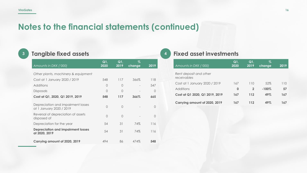### **Notes to the financial statements (continued)**

| I |
|---|
| I |
|   |

### **<sup>3</sup> Tangible fixed assets**

| Amounts in DKK ('000)                                          | Q1<br>2020 | Q1<br>2019 | %<br>change | 2019       |
|----------------------------------------------------------------|------------|------------|-------------|------------|
| Other plants, machinery & equipment                            |            |            |             |            |
| Cost at 1 January 2020 / 2019                                  | 548        | 117        | 366%        | 118        |
| Additions                                                      | 0          | 0          |             | 547        |
| <b>Disposals</b>                                               | 0          | $\bigcap$  |             | $\bigcirc$ |
| Cost at Q1, 2020, Q1 2019, 2019                                | 548        | 117        | 366%        | 665        |
| Depreciation and impairment losses<br>at 1 January 2020 / 2019 | 0          | $\Omega$   |             | $\bigcap$  |
| Reversal of depreciation of assets<br>disposed of              | 0          | $\bigcap$  |             | $\bigcirc$ |
| Depreciation for the year                                      | 54         | 31         | 74%         | 116        |
| <b>Depreciation and impairment losses</b><br>at 2020, 2019     | 54         | 31         | 74%         | 116        |
| Carrying amount of 2020, 2019                                  | 494        | 86         | 474%        | 548        |

#### **<sup>4</sup> Fixed asset investments**

| Amounts in DKK ('000)                 | Q1,<br>2020 | Q1<br>2019   | Z<br>change | 2019 |
|---------------------------------------|-------------|--------------|-------------|------|
| Rent deposit and other<br>receivables |             |              |             |      |
| Cost at 1 January 2020 / 2019         | 167         | 110          | 52%         | 110  |
| Additions                             | 0           | $\mathbf{2}$ | $-100%$     | 57   |
| Cost at Q1 2020, Q1 2019, 2019        | 167         | 112          | 49%         | 167  |
| Carrying amount of 2020, 2019         | 167         | 112          | 49%         | 167  |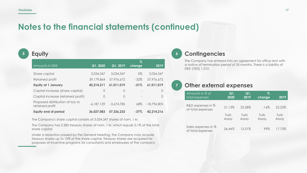### **Notes to the financial statements (continued)**

**<sup>5</sup> Equity**

| Amounts in DKK                                      | Q1, 2020     | Q1, 2019     | Z<br>change              | 2019          |
|-----------------------------------------------------|--------------|--------------|--------------------------|---------------|
| Share capital                                       | 3,034,347    | 3,034,347    | $0\%$                    | 3,034,347     |
| Retained profit                                     | 39,179,864   | 57,976,672   | $-32%$                   | 57,976,672    |
| <b>Equity at 1 January</b>                          | 42,214,211   | 61,011,019   | $-31%$                   | 61,011,019    |
| Capital increase (share capital)                    | 0            | 0            |                          | $\Omega$      |
| Capital increase (retained profit)                  | 0            | $\Omega$     | $\overline{\phantom{a}}$ | $\Omega$      |
| Proposed distribution of loss to<br>retained profit | $-6,187,129$ | $-3,674,785$ | 68%                      | $-18,796,805$ |
| <b>Equity end of period</b>                         | 36,027,083   | 57,336,233   | $-37\%$                  | 42,214,216    |

The Company's share capital consists of 3.034.347 shares of nom. 1 kr.

The Company has 2.585 treasury shares of nom. 1 kr. which equals 0,1% of the total share capital.

Under a resolution passed by the General Meeting, the Company may acquire treasury shares up to 10% of the share capital. Treasury shares are acquired for purposes of incentive programs for consultants and employees of the company

#### **<sup>6</sup> Contingencies**

The Company has entered into an agreement for office rent with a notice of termination period of 35 months. There is a liability of DKK ('000) 1,510.

#### **<sup>7</sup> Other external expenses**

| Amounts in % of                          | Q1,    | Q1.    | Z      | 2019   |
|------------------------------------------|--------|--------|--------|--------|
| total expenses                           | 2020   | 2019   | change |        |
| R&D expenses in %<br>of total expenses   | 21.13% | 25.28% | $-16%$ | 22.23% |
|                                          | Turb   | Turb   | Turb   | Turb   |
|                                          | Assay  | Assay  | Assay  | Assay  |
| Sales expenses in %<br>of total expenses | 26.44% | 13.31% | 99%    | 17.73% |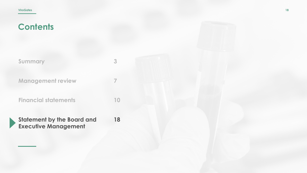| <b>Summary</b>              |  |
|-----------------------------|--|
| <b>Management review</b>    |  |
| <b>Financial statements</b> |  |

**Statement by the Board and Executive Management 18**